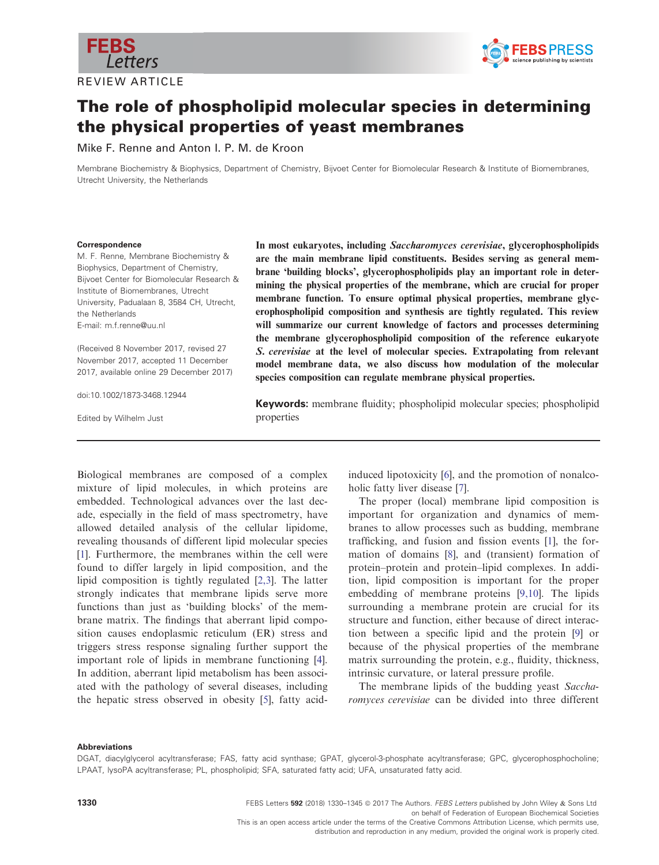

REVIEW ARTICLE



# The role of phospholipid molecular species in determining the physical properties of yeast membranes

Mike F. Renne and Anton I. P. M. de Kroon

Membrane Biochemistry & Biophysics, Department of Chemistry, Bijvoet Center for Biomolecular Research & Institute of Biomembranes, Utrecht University, the Netherlands

#### Correspondence

M. F. Renne, Membrane Biochemistry & Biophysics, Department of Chemistry, Bijvoet Center for Biomolecular Research & Institute of Biomembranes, Utrecht University, Padualaan 8, 3584 CH, Utrecht, the Netherlands E-mail: m.f.renne@uu.nl

(Received 8 November 2017, revised 27 November 2017, accepted 11 December 2017, available online 29 December 2017)

doi:10.1002/1873-3468.12944

Edited by Wilhelm Just

In most eukaryotes, including Saccharomyces cerevisiae, glycerophospholipids are the main membrane lipid constituents. Besides serving as general membrane 'building blocks', glycerophospholipids play an important role in determining the physical properties of the membrane, which are crucial for proper membrane function. To ensure optimal physical properties, membrane glycerophospholipid composition and synthesis are tightly regulated. This review will summarize our current knowledge of factors and processes determining the membrane glycerophospholipid composition of the reference eukaryote S. cerevisiae at the level of molecular species. Extrapolating from relevant model membrane data, we also discuss how modulation of the molecular species composition can regulate membrane physical properties.

Keywords: membrane fluidity; phospholipid molecular species; phospholipid properties

Biological membranes are composed of a complex mixture of lipid molecules, in which proteins are embedded. Technological advances over the last decade, especially in the field of mass spectrometry, have allowed detailed analysis of the cellular lipidome, revealing thousands of different lipid molecular species [\[1](#page-10-0)]. Furthermore, the membranes within the cell were found to differ largely in lipid composition, and the lipid composition is tightly regulated [[2,3\]](#page-10-0). The latter strongly indicates that membrane lipids serve more functions than just as 'building blocks' of the membrane matrix. The findings that aberrant lipid composition causes endoplasmic reticulum (ER) stress and triggers stress response signaling further support the important role of lipids in membrane functioning [\[4](#page-10-0)]. In addition, aberrant lipid metabolism has been associated with the pathology of several diseases, including the hepatic stress observed in obesity [[5\]](#page-10-0), fatty acid-

induced lipotoxicity [\[6\]](#page-10-0), and the promotion of nonalcoholic fatty liver disease [\[7](#page-10-0)].

The proper (local) membrane lipid composition is important for organization and dynamics of membranes to allow processes such as budding, membrane trafficking, and fusion and fission events [[1\]](#page-10-0), the formation of domains [[8](#page-10-0)], and (transient) formation of protein–protein and protein–lipid complexes. In addition, lipid composition is important for the proper embedding of membrane proteins [[9,10\]](#page-10-0). The lipids surrounding a membrane protein are crucial for its structure and function, either because of direct interaction between a specific lipid and the protein [[9](#page-10-0)] or because of the physical properties of the membrane matrix surrounding the protein, e.g., fluidity, thickness, intrinsic curvature, or lateral pressure profile.

The membrane lipids of the budding yeast Saccharomyces cerevisiae can be divided into three different

## Abbreviations

DGAT, diacylglycerol acyltransferase; FAS, fatty acid synthase; GPAT, glycerol-3-phosphate acyltransferase; GPC, glycerophosphocholine; LPAAT, lysoPA acyltransferase; PL, phospholipid; SFA, saturated fatty acid; UFA, unsaturated fatty acid.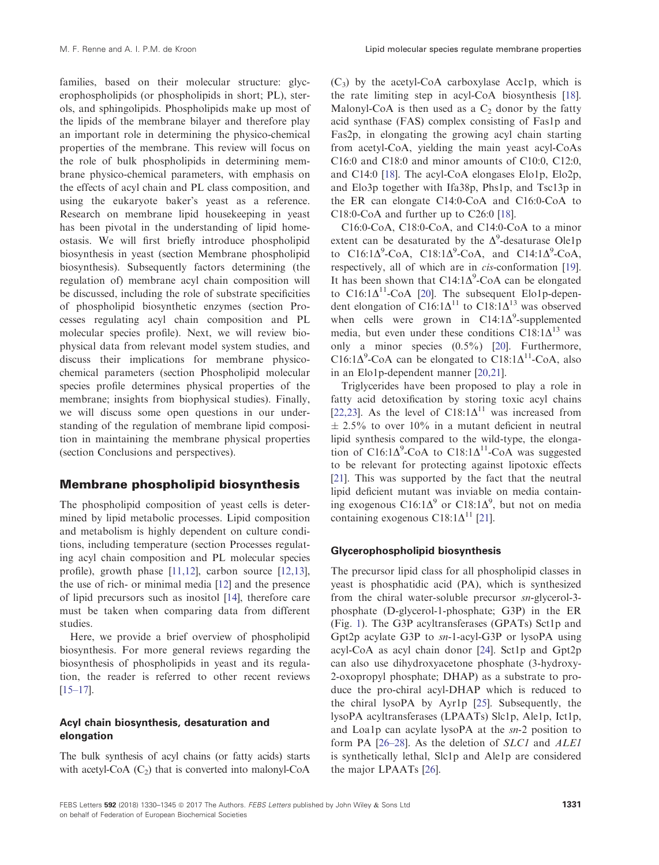families, based on their molecular structure: glycerophospholipids (or phospholipids in short; PL), sterols, and sphingolipids. Phospholipids make up most of the lipids of the membrane bilayer and therefore play an important role in determining the physico-chemical properties of the membrane. This review will focus on the role of bulk phospholipids in determining membrane physico-chemical parameters, with emphasis on the effects of acyl chain and PL class composition, and using the eukaryote baker's yeast as a reference. Research on membrane lipid housekeeping in yeast has been pivotal in the understanding of lipid homeostasis. We will first briefly introduce phospholipid biosynthesis in yeast (section Membrane phospholipid biosynthesis). Subsequently factors determining (the regulation of) membrane acyl chain composition will be discussed, including the role of substrate specificities of phospholipid biosynthetic enzymes (section Processes regulating acyl chain composition and PL molecular species profile). Next, we will review biophysical data from relevant model system studies, and discuss their implications for membrane physicochemical parameters (section Phospholipid molecular species profile determines physical properties of the membrane; insights from biophysical studies). Finally, we will discuss some open questions in our understanding of the regulation of membrane lipid composition in maintaining the membrane physical properties (section Conclusions and perspectives).

# Membrane phospholipid biosynthesis

The phospholipid composition of yeast cells is determined by lipid metabolic processes. Lipid composition and metabolism is highly dependent on culture conditions, including temperature (section Processes regulating acyl chain composition and PL molecular species profile), growth phase [\[11,12\]](#page-11-0), carbon source [[12,13](#page-11-0)], the use of rich- or minimal media [\[12\]](#page-11-0) and the presence of lipid precursors such as inositol [[14](#page-11-0)], therefore care must be taken when comparing data from different studies.

Here, we provide a brief overview of phospholipid biosynthesis. For more general reviews regarding the biosynthesis of phospholipids in yeast and its regulation, the reader is referred to other recent reviews [\[15](#page-11-0)–17].

# Acyl chain biosynthesis, desaturation and elongation

The bulk synthesis of acyl chains (or fatty acids) starts with acetyl-CoA  $(C_2)$  that is converted into malonyl-CoA

 $(C_3)$  by the acetyl-CoA carboxylase Acc1p, which is the rate limiting step in acyl-CoA biosynthesis [[18](#page-11-0)]. Malonyl-CoA is then used as a  $C_2$  donor by the fatty acid synthase (FAS) complex consisting of Fas1p and Fas2p, in elongating the growing acyl chain starting from acetyl-CoA, yielding the main yeast acyl-CoAs C16:0 and C18:0 and minor amounts of C10:0, C12:0, and C14:0 [[18\]](#page-11-0). The acyl-CoA elongases Elo1p, Elo2p, and Elo3p together with Ifa38p, Phs1p, and Tsc13p in the ER can elongate C14:0-CoA and C16:0-CoA to C18:0-CoA and further up to C26:0 [\[18\]](#page-11-0).

C16:0-CoA, C18:0-CoA, and C14:0-CoA to a minor extent can be desaturated by the  $\Delta^9$ -desaturase Ole1p to C16:1 $\Delta^9$ -CoA, C18:1 $\Delta^9$ -CoA, and C14:1 $\Delta^9$ -CoA, respectively, all of which are in *cis*-conformation [[19](#page-11-0)]. It has been shown that  $C14:1\Delta^9$ -CoA can be elongated to  $C16:1\Delta^{11}$ -CoA [\[20\]](#page-11-0). The subsequent Elo1p-dependent elongation of C16:1 $\Delta^{11}$  to C18:1 $\Delta^{13}$  was observed when cells were grown in  $C14:1\Delta^9$ -supplemented media, but even under these conditions  $C18:1\Delta^{13}$  was only a minor species (0.5%) [[20](#page-11-0)]. Furthermore, C16:1 $\Delta^9$ -CoA can be elongated to C18:1 $\Delta^{11}$ -CoA, also in an Elo1p-dependent manner [[20,21](#page-11-0)].

Triglycerides have been proposed to play a role in fatty acid detoxification by storing toxic acyl chains [[22,23](#page-11-0)]. As the level of  $C18:1\Delta^{11}$  was increased from  $\pm$  2.5% to over 10% in a mutant deficient in neutral lipid synthesis compared to the wild-type, the elongation of C16:1 $\Delta^{9}$ -CoA to C18:1 $\Delta^{11}$ -CoA was suggested to be relevant for protecting against lipotoxic effects [[21](#page-11-0)]. This was supported by the fact that the neutral lipid deficient mutant was inviable on media containing exogenous C16:1 $\Delta^9$  or C18:1 $\Delta^9$ , but not on media containing exogenous C18:1 $\Delta^{11}$  [\[21\]](#page-11-0).

# Glycerophospholipid biosynthesis

The precursor lipid class for all phospholipid classes in yeast is phosphatidic acid (PA), which is synthesized from the chiral water-soluble precursor  $sn$ -glycerol-3phosphate (D-glycerol-1-phosphate; G3P) in the ER (Fig. [1\)](#page-2-0). The G3P acyltransferases (GPATs) Sct1p and Gpt2p acylate G3P to sn-1-acyl-G3P or lysoPA using acyl-CoA as acyl chain donor [[24](#page-11-0)]. Sct1p and Gpt2p can also use dihydroxyacetone phosphate (3-hydroxy-2-oxopropyl phosphate; DHAP) as a substrate to produce the pro-chiral acyl-DHAP which is reduced to the chiral lysoPA by Ayr1p [[25](#page-11-0)]. Subsequently, the lysoPA acyltransferases (LPAATs) Slc1p, Ale1p, Ict1p, and Loa1p can acylate lysoPA at the sn-2 position to form PA [\[26](#page-11-0)–28]. As the deletion of *SLC1* and *ALE1* is synthetically lethal, Slc1p and Ale1p are considered the major LPAATs [\[26\]](#page-11-0).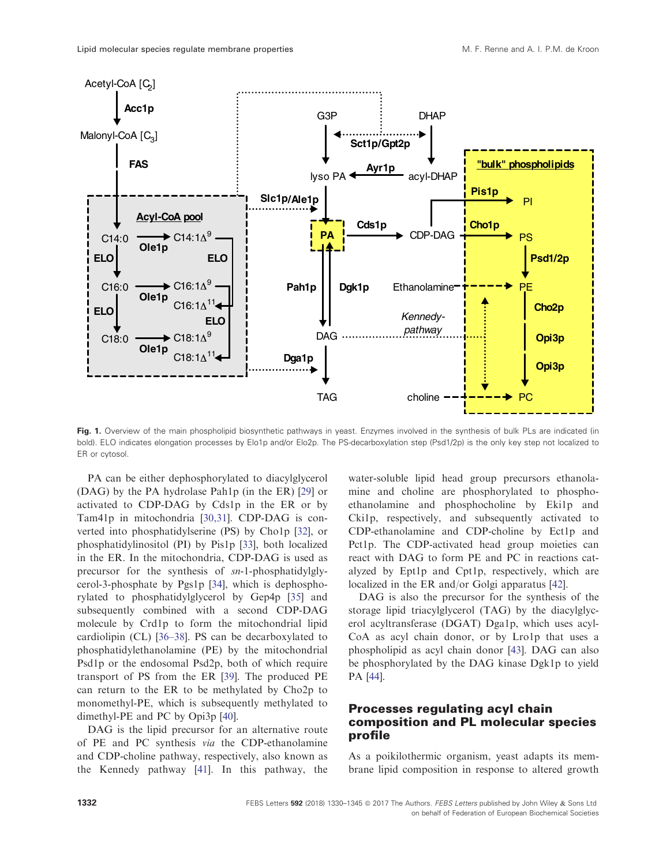<span id="page-2-0"></span>

Fig. 1. Overview of the main phospholipid biosynthetic pathways in yeast. Enzymes involved in the synthesis of bulk PLs are indicated (in bold). ELO indicates elongation processes by Elo1p and/or Elo2p. The PS-decarboxylation step (Psd1/2p) is the only key step not localized to ER or cytosol.

PA can be either dephosphorylated to diacylglycerol (DAG) by the PA hydrolase Pah1p (in the ER) [[29](#page-11-0)] or activated to CDP-DAG by Cds1p in the ER or by Tam41p in mitochondria [[30,31](#page-11-0)]. CDP-DAG is converted into phosphatidylserine (PS) by Cho1p [[32](#page-11-0)], or phosphatidylinositol (PI) by Pis1p [\[33\]](#page-11-0), both localized in the ER. In the mitochondria, CDP-DAG is used as precursor for the synthesis of sn-1-phosphatidylglycerol-3-phosphate by Pgs1p [\[34\]](#page-11-0), which is dephosphorylated to phosphatidylglycerol by Gep4p [[35](#page-12-0)] and subsequently combined with a second CDP-DAG molecule by Crd1p to form the mitochondrial lipid cardiolipin (CL) [\[36](#page-12-0)–38]. PS can be decarboxylated to phosphatidylethanolamine (PE) by the mitochondrial Psd1p or the endosomal Psd2p, both of which require transport of PS from the ER [\[39\]](#page-12-0). The produced PE can return to the ER to be methylated by Cho2p to monomethyl-PE, which is subsequently methylated to dimethyl-PE and PC by Opi3p [\[40\]](#page-12-0).

DAG is the lipid precursor for an alternative route of PE and PC synthesis via the CDP-ethanolamine and CDP-choline pathway, respectively, also known as the Kennedy pathway [\[41\]](#page-12-0). In this pathway, the

water-soluble lipid head group precursors ethanolamine and choline are phosphorylated to phosphoethanolamine and phosphocholine by Eki1p and Cki1p, respectively, and subsequently activated to CDP-ethanolamine and CDP-choline by Ect1p and Pct1p. The CDP-activated head group moieties can react with DAG to form PE and PC in reactions catalyzed by Ept1p and Cpt1p, respectively, which are localized in the ER and/or Golgi apparatus [\[42\]](#page-12-0).

DAG is also the precursor for the synthesis of the storage lipid triacylglycerol (TAG) by the diacylglycerol acyltransferase (DGAT) Dga1p, which uses acyl-CoA as acyl chain donor, or by Lro1p that uses a phospholipid as acyl chain donor [[43](#page-12-0)]. DAG can also be phosphorylated by the DAG kinase Dgk1p to yield PA [[44](#page-12-0)].

# Processes regulating acyl chain composition and PL molecular species profile

As a poikilothermic organism, yeast adapts its membrane lipid composition in response to altered growth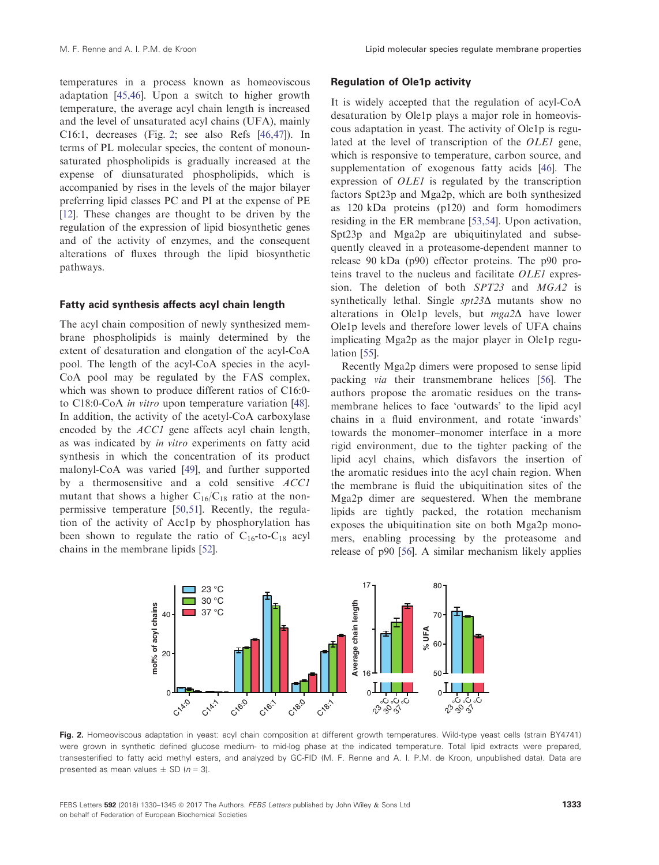<span id="page-3-0"></span>temperatures in a process known as homeoviscous adaptation [[45,46](#page-12-0)]. Upon a switch to higher growth temperature, the average acyl chain length is increased and the level of unsaturated acyl chains (UFA), mainly C16:1, decreases (Fig. 2; see also Refs [\[46,47\]](#page-12-0)). In terms of PL molecular species, the content of monounsaturated phospholipids is gradually increased at the expense of diunsaturated phospholipids, which is accompanied by rises in the levels of the major bilayer preferring lipid classes PC and PI at the expense of PE [\[12\]](#page-11-0). These changes are thought to be driven by the regulation of the expression of lipid biosynthetic genes and of the activity of enzymes, and the consequent alterations of fluxes through the lipid biosynthetic pathways.

## Fatty acid synthesis affects acyl chain length

The acyl chain composition of newly synthesized membrane phospholipids is mainly determined by the extent of desaturation and elongation of the acyl-CoA pool. The length of the acyl-CoA species in the acyl-CoA pool may be regulated by the FAS complex, which was shown to produce different ratios of C16:0 to C18:0-CoA in vitro upon temperature variation [[48](#page-12-0)]. In addition, the activity of the acetyl-CoA carboxylase encoded by the ACC1 gene affects acyl chain length, as was indicated by in vitro experiments on fatty acid synthesis in which the concentration of its product malonyl-CoA was varied [[49](#page-12-0)], and further supported by a thermosensitive and a cold sensitive ACC1 mutant that shows a higher  $C_{16}/C_{18}$  ratio at the nonpermissive temperature [[50,51\]](#page-12-0). Recently, the regulation of the activity of Acc1p by phosphorylation has been shown to regulate the ratio of  $C_{16}$ -to- $C_{18}$  acyl chains in the membrane lipids [\[52\]](#page-12-0).

#### Regulation of Ole1p activity

It is widely accepted that the regulation of acyl-CoA desaturation by Ole1p plays a major role in homeoviscous adaptation in yeast. The activity of Ole1p is regulated at the level of transcription of the OLE1 gene, which is responsive to temperature, carbon source, and supplementation of exogenous fatty acids [\[46\]](#page-12-0). The expression of OLE1 is regulated by the transcription factors Spt23p and Mga2p, which are both synthesized as 120 kDa proteins (p120) and form homodimers residing in the ER membrane [\[53,54\]](#page-12-0). Upon activation, Spt23p and Mga2p are ubiquitinylated and subsequently cleaved in a proteasome-dependent manner to release 90 kDa (p90) effector proteins. The p90 proteins travel to the nucleus and facilitate OLE1 expression. The deletion of both SPT23 and MGA2 is synthetically lethal. Single  $spt23\Delta$  mutants show no alterations in Ole1p levels, but  $mga2\Delta$  have lower Ole1p levels and therefore lower levels of UFA chains implicating Mga2p as the major player in Ole1p regulation [\[55\]](#page-12-0).

Recently Mga2p dimers were proposed to sense lipid packing via their transmembrane helices [\[56\]](#page-12-0). The authors propose the aromatic residues on the transmembrane helices to face 'outwards' to the lipid acyl chains in a fluid environment, and rotate 'inwards' towards the monomer–monomer interface in a more rigid environment, due to the tighter packing of the lipid acyl chains, which disfavors the insertion of the aromatic residues into the acyl chain region. When the membrane is fluid the ubiquitination sites of the Mga2p dimer are sequestered. When the membrane lipids are tightly packed, the rotation mechanism exposes the ubiquitination site on both Mga2p monomers, enabling processing by the proteasome and release of p90 [[56](#page-12-0)]. A similar mechanism likely applies



Fig. 2. Homeoviscous adaptation in yeast: acyl chain composition at different growth temperatures. Wild-type yeast cells (strain BY4741) were grown in synthetic defined glucose medium- to mid-log phase at the indicated temperature. Total lipid extracts were prepared, transesterified to fatty acid methyl esters, and analyzed by GC-FID (M. F. Renne and A. I. P.M. de Kroon, unpublished data). Data are presented as mean values  $\pm$  SD ( $n = 3$ ).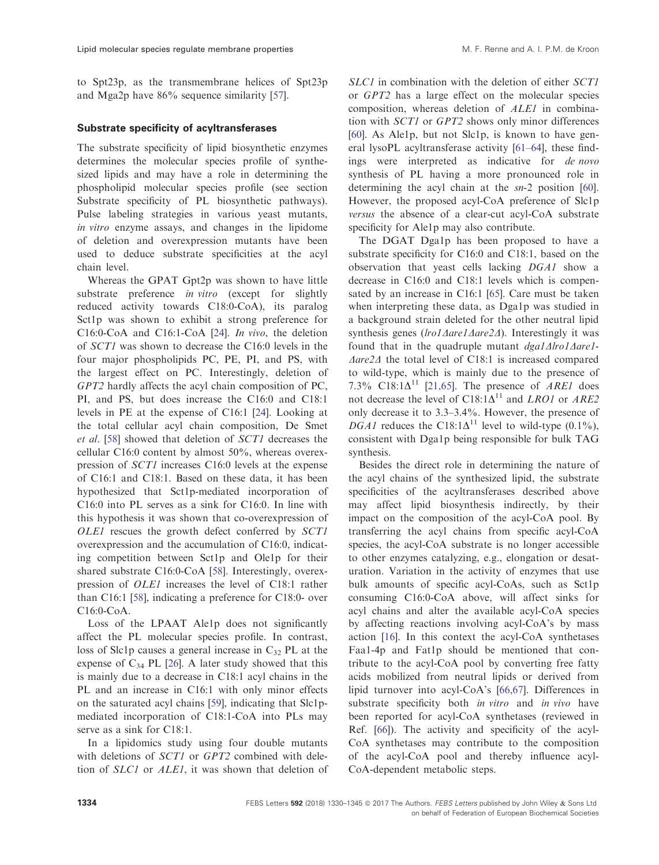to Spt23p, as the transmembrane helices of Spt23p and Mga2p have 86% sequence similarity [[57](#page-12-0)].

# Substrate specificity of acyltransferases

The substrate specificity of lipid biosynthetic enzymes determines the molecular species profile of synthesized lipids and may have a role in determining the phospholipid molecular species profile (see section Substrate specificity of PL biosynthetic pathways). Pulse labeling strategies in various yeast mutants, in vitro enzyme assays, and changes in the lipidome of deletion and overexpression mutants have been used to deduce substrate specificities at the acyl chain level.

Whereas the GPAT Gpt2p was shown to have little substrate preference *in vitro* (except for slightly reduced activity towards C18:0-CoA), its paralog Sct1p was shown to exhibit a strong preference for C16:0-CoA and C16:1-CoA [\[24\]](#page-11-0). In vivo, the deletion of SCT1 was shown to decrease the C16:0 levels in the four major phospholipids PC, PE, PI, and PS, with the largest effect on PC. Interestingly, deletion of GPT2 hardly affects the acyl chain composition of PC, PI, and PS, but does increase the C16:0 and C18:1 levels in PE at the expense of C16:1 [[24](#page-11-0)]. Looking at the total cellular acyl chain composition, De Smet et al. [[58](#page-12-0)] showed that deletion of SCT1 decreases the cellular C16:0 content by almost 50%, whereas overexpression of SCT1 increases C16:0 levels at the expense of C16:1 and C18:1. Based on these data, it has been hypothesized that Sct1p-mediated incorporation of C16:0 into PL serves as a sink for C16:0. In line with this hypothesis it was shown that co-overexpression of OLE1 rescues the growth defect conferred by SCT1 overexpression and the accumulation of C16:0, indicating competition between Sct1p and Ole1p for their shared substrate C16:0-CoA [[58](#page-12-0)]. Interestingly, overexpression of OLE1 increases the level of C18:1 rather than C16:1 [\[58\]](#page-12-0), indicating a preference for C18:0- over C16:0-CoA.

Loss of the LPAAT Ale1p does not significantly affect the PL molecular species profile. In contrast, loss of Slc1p causes a general increase in  $C_{32}$  PL at the expense of  $C_{34}$  PL [[26](#page-11-0)]. A later study showed that this is mainly due to a decrease in C18:1 acyl chains in the PL and an increase in C16:1 with only minor effects on the saturated acyl chains [[59](#page-12-0)], indicating that Slc1pmediated incorporation of C18:1-CoA into PLs may serve as a sink for C18:1.

In a lipidomics study using four double mutants with deletions of *SCT1* or *GPT2* combined with deletion of SLC1 or ALE1, it was shown that deletion of

SLC1 in combination with the deletion of either SCT1 or GPT2 has a large effect on the molecular species composition, whereas deletion of ALE1 in combination with SCT1 or GPT2 shows only minor differences [\[60\]](#page-12-0). As Ale1p, but not Slc1p, is known to have general lysoPL acyltransferase activity [[61](#page-13-0)–64], these findings were interpreted as indicative for de novo synthesis of PL having a more pronounced role in determining the acyl chain at the sn-2 position [[60](#page-12-0)]. However, the proposed acyl-CoA preference of Slc1p versus the absence of a clear-cut acyl-CoA substrate specificity for Ale1p may also contribute.

The DGAT Dga1p has been proposed to have a substrate specificity for C16:0 and C18:1, based on the observation that yeast cells lacking DGA1 show a decrease in C16:0 and C18:1 levels which is compensated by an increase in C16:1 [\[65\]](#page-13-0). Care must be taken when interpreting these data, as Dga1p was studied in a background strain deleted for the other neutral lipid synthesis genes (lro1 $\triangle$ are1 $\triangle$ are2 $\triangle$ ). Interestingly it was found that in the quadruple mutant  $dgalAlrol\Delta are1$  $\Delta$ are2 $\Delta$  the total level of C18:1 is increased compared to wild-type, which is mainly due to the presence of 7.3% C18:1 $\Delta$ <sup>11</sup> [[21,65](#page-11-0)]. The presence of *ARE1* does not decrease the level of C18:1 $\Delta$ <sup>11</sup> and *LRO1* or *ARE2* only decrease it to 3.3–3.4%. However, the presence of DGA1 reduces the C18:1 $\Delta^{11}$  level to wild-type (0.1%), consistent with Dga1p being responsible for bulk TAG synthesis.

Besides the direct role in determining the nature of the acyl chains of the synthesized lipid, the substrate specificities of the acyltransferases described above may affect lipid biosynthesis indirectly, by their impact on the composition of the acyl-CoA pool. By transferring the acyl chains from specific acyl-CoA species, the acyl-CoA substrate is no longer accessible to other enzymes catalyzing, e.g., elongation or desaturation. Variation in the activity of enzymes that use bulk amounts of specific acyl-CoAs, such as Sct1p consuming C16:0-CoA above, will affect sinks for acyl chains and alter the available acyl-CoA species by affecting reactions involving acyl-CoA's by mass action [\[16\]](#page-11-0). In this context the acyl-CoA synthetases Faa1-4p and Fat1p should be mentioned that contribute to the acyl-CoA pool by converting free fatty acids mobilized from neutral lipids or derived from lipid turnover into acyl-CoA's [\[66,67\]](#page-13-0). Differences in substrate specificity both *in vitro* and *in vivo* have been reported for acyl-CoA synthetases (reviewed in Ref. [[66](#page-13-0)]). The activity and specificity of the acyl-CoA synthetases may contribute to the composition of the acyl-CoA pool and thereby influence acyl-CoA-dependent metabolic steps.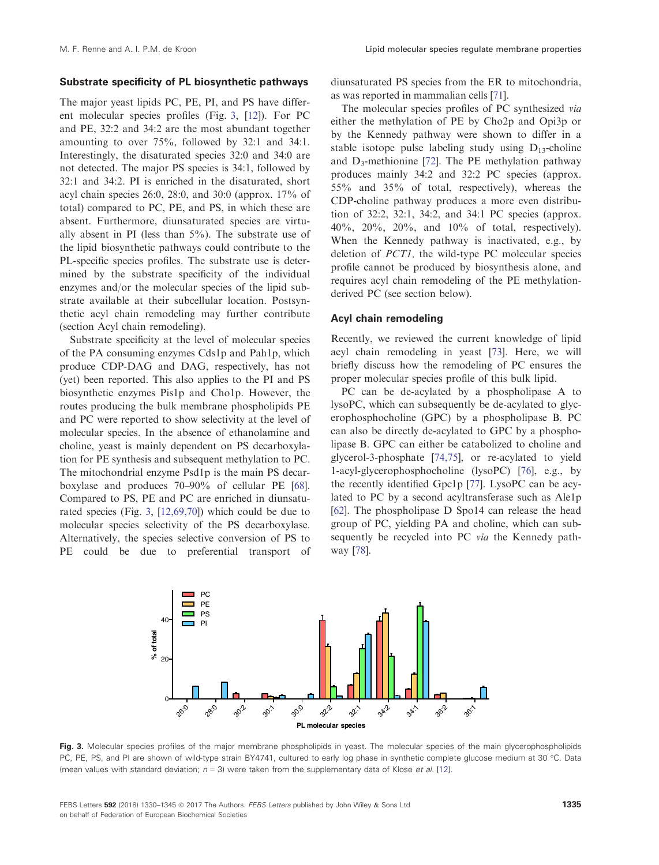## Substrate specificity of PL biosynthetic pathways

The major yeast lipids PC, PE, PI, and PS have different molecular species profiles (Fig. 3, [[12](#page-11-0)]). For PC and PE, 32:2 and 34:2 are the most abundant together amounting to over 75%, followed by 32:1 and 34:1. Interestingly, the disaturated species 32:0 and 34:0 are not detected. The major PS species is 34:1, followed by 32:1 and 34:2. PI is enriched in the disaturated, short acyl chain species 26:0, 28:0, and 30:0 (approx. 17% of total) compared to PC, PE, and PS, in which these are absent. Furthermore, diunsaturated species are virtually absent in PI (less than 5%). The substrate use of the lipid biosynthetic pathways could contribute to the PL-specific species profiles. The substrate use is determined by the substrate specificity of the individual enzymes and/or the molecular species of the lipid substrate available at their subcellular location. Postsynthetic acyl chain remodeling may further contribute (section Acyl chain remodeling).

Substrate specificity at the level of molecular species of the PA consuming enzymes Cds1p and Pah1p, which produce CDP-DAG and DAG, respectively, has not (yet) been reported. This also applies to the PI and PS biosynthetic enzymes Pis1p and Cho1p. However, the routes producing the bulk membrane phospholipids PE and PC were reported to show selectivity at the level of molecular species. In the absence of ethanolamine and choline, yeast is mainly dependent on PS decarboxylation for PE synthesis and subsequent methylation to PC. The mitochondrial enzyme Psd1p is the main PS decarboxylase and produces 70–90% of cellular PE [[68](#page-13-0)]. Compared to PS, PE and PC are enriched in diunsaturated species (Fig. 3, [\[12,69,70](#page-11-0)]) which could be due to molecular species selectivity of the PS decarboxylase. Alternatively, the species selective conversion of PS to PE could be due to preferential transport of diunsaturated PS species from the ER to mitochondria, as was reported in mammalian cells [[71](#page-13-0)].

The molecular species profiles of PC synthesized via either the methylation of PE by Cho2p and Opi3p or by the Kennedy pathway were shown to differ in a stable isotope pulse labeling study using  $D_{13}$ -choline and  $D_3$ -methionine [\[72\]](#page-13-0). The PE methylation pathway produces mainly 34:2 and 32:2 PC species (approx. 55% and 35% of total, respectively), whereas the CDP-choline pathway produces a more even distribution of 32:2, 32:1, 34:2, and 34:1 PC species (approx. 40%, 20%, 20%, and 10% of total, respectively). When the Kennedy pathway is inactivated, e.g., by deletion of PCT1, the wild-type PC molecular species profile cannot be produced by biosynthesis alone, and requires acyl chain remodeling of the PE methylationderived PC (see section below).

#### Acyl chain remodeling

Recently, we reviewed the current knowledge of lipid acyl chain remodeling in yeast [\[73\]](#page-13-0). Here, we will briefly discuss how the remodeling of PC ensures the proper molecular species profile of this bulk lipid.

PC can be de-acylated by a phospholipase A to lysoPC, which can subsequently be de-acylated to glycerophosphocholine (GPC) by a phospholipase B. PC can also be directly de-acylated to GPC by a phospholipase B. GPC can either be catabolized to choline and glycerol-3-phosphate [[74,75](#page-13-0)], or re-acylated to yield 1-acyl-glycerophosphocholine (lysoPC) [[76](#page-13-0)], e.g., by the recently identified Gpc1p [\[77\]](#page-13-0). LysoPC can be acylated to PC by a second acyltransferase such as Ale1p [[62](#page-13-0)]. The phospholipase D Spo14 can release the head group of PC, yielding PA and choline, which can subsequently be recycled into PC via the Kennedy pathway [[78](#page-13-0)].



Fig. 3. Molecular species profiles of the major membrane phospholipids in yeast. The molecular species of the main glycerophospholipids PC, PE, PS, and PI are shown of wild-type strain BY4741, cultured to early log phase in synthetic complete glucose medium at 30 °C. Data (mean values with standard deviation;  $n = 3$ ) were taken from the supplementary data of Klose et al. [[12](#page-11-0)].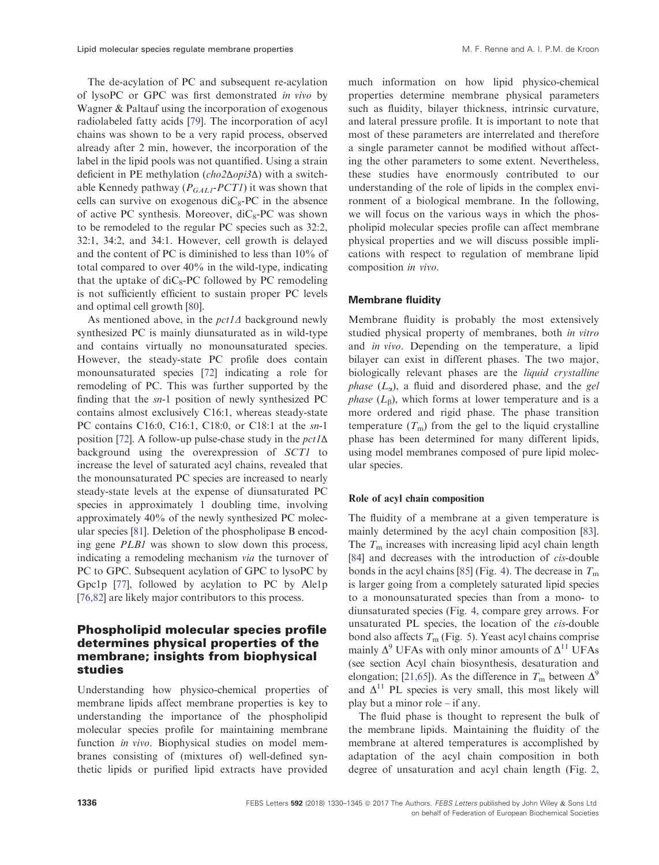The de-acylation of PC and subsequent re-acylation of lysoPC or GPC was first demonstrated in vivo by Wagner & Paltauf using the incorporation of exogenous radiolabeled fatty acids [[79](#page-13-0)]. The incorporation of acyl chains was shown to be a very rapid process, observed already after 2 min, however, the incorporation of the label in the lipid pools was not quantified. Using a strain deficient in PE methylation (cho2Δopi3Δ) with a switchable Kennedy pathway ( $P_{GALI}$ -PCTI) it was shown that cells can survive on exogenous  $\text{di}C_8\text{-PC}$  in the absence of active PC synthesis. Moreover,  $\text{diC}_8\text{-PC}$  was shown to be remodeled to the regular PC species such as 32:2, 32:1, 34:2, and 34:1. However, cell growth is delayed and the content of PC is diminished to less than 10% of total compared to over 40% in the wild-type, indicating that the uptake of  $diC_8$ -PC followed by PC remodeling is not sufficiently efficient to sustain proper PC levels and optimal cell growth [\[80\]](#page-13-0).

As mentioned above, in the  $pct1\Delta$  background newly synthesized PC is mainly diunsaturated as in wild-type and contains virtually no monounsaturated species. However, the steady-state PC profile does contain monounsaturated species [\[72\]](#page-13-0) indicating a role for remodeling of PC. This was further supported by the finding that the sn-1 position of newly synthesized PC contains almost exclusively C16:1, whereas steady-state PC contains C16:0, C16:1, C18:0, or C18:1 at the sn-1 position [\[72\]](#page-13-0). A follow-up pulse-chase study in the  $pct1\Delta$ background using the overexpression of SCT1 to increase the level of saturated acyl chains, revealed that the monounsaturated PC species are increased to nearly steady-state levels at the expense of diunsaturated PC species in approximately 1 doubling time, involving approximately 40% of the newly synthesized PC molecular species [[81\]](#page-13-0). Deletion of the phospholipase B encoding gene PLB1 was shown to slow down this process, indicating a remodeling mechanism via the turnover of PC to GPC. Subsequent acylation of GPC to lysoPC by Gpc1p [\[77](#page-13-0)], followed by acylation to PC by Ale1p [\[76,82](#page-13-0)] are likely major contributors to this process.

# Phospholipid molecular species profile determines physical properties of the membrane; insights from biophysical studies

Understanding how physico-chemical properties of membrane lipids affect membrane properties is key to understanding the importance of the phospholipid molecular species profile for maintaining membrane function in vivo. Biophysical studies on model membranes consisting of (mixtures of) well-defined synthetic lipids or purified lipid extracts have provided

much information on how lipid physico-chemical properties determine membrane physical parameters such as fluidity, bilayer thickness, intrinsic curvature, and lateral pressure profile. It is important to note that most of these parameters are interrelated and therefore a single parameter cannot be modified without affecting the other parameters to some extent. Nevertheless, these studies have enormously contributed to our understanding of the role of lipids in the complex environment of a biological membrane. In the following, we will focus on the various ways in which the phospholipid molecular species profile can affect membrane physical properties and we will discuss possible implications with respect to regulation of membrane lipid composition in vivo.

#### Membrane fluidity

Membrane fluidity is probably the most extensively studied physical property of membranes, both in vitro and in vivo. Depending on the temperature, a lipid bilayer can exist in different phases. The two major, biologically relevant phases are the liquid crystalline *phase*  $(L_{\alpha})$ , a fluid and disordered phase, and the gel *phase*  $(L_{\beta})$ , which forms at lower temperature and is a more ordered and rigid phase. The phase transition temperature  $(T<sub>m</sub>)$  from the gel to the liquid crystalline phase has been determined for many different lipids, using model membranes composed of pure lipid molecular species.

## Role of acyl chain composition

The fluidity of a membrane at a given temperature is mainly determined by the acyl chain composition [\[83](#page-13-0)]. The  $T<sub>m</sub>$  increases with increasing lipid acyl chain length [\[84\]](#page-13-0) and decreases with the introduction of *cis*-double bonds in the acyl chains [[85\]](#page-14-0) (Fig. [4](#page-7-0)). The decrease in  $T<sub>m</sub>$ is larger going from a completely saturated lipid species to a monounsaturated species than from a mono- to diunsaturated species (Fig. [4](#page-7-0), compare grey arrows. For unsaturated PL species, the location of the *cis*-double bond also affects  $T<sub>m</sub>$  (Fig. [5](#page-7-0)). Yeast acyl chains comprise mainly  $\Delta^9$  UFAs with only minor amounts of  $\Delta^{11}$  UFAs (see section Acyl chain biosynthesis, desaturation and elongation; [\[21,65\]](#page-11-0)). As the difference in  $T_m$  between  $\Delta^9$ and  $\Delta^{11}$  PL species is very small, this most likely will play but a minor role – if any.

The fluid phase is thought to represent the bulk of the membrane lipids. Maintaining the fluidity of the membrane at altered temperatures is accomplished by adaptation of the acyl chain composition in both degree of unsaturation and acyl chain length (Fig. [2,](#page-3-0)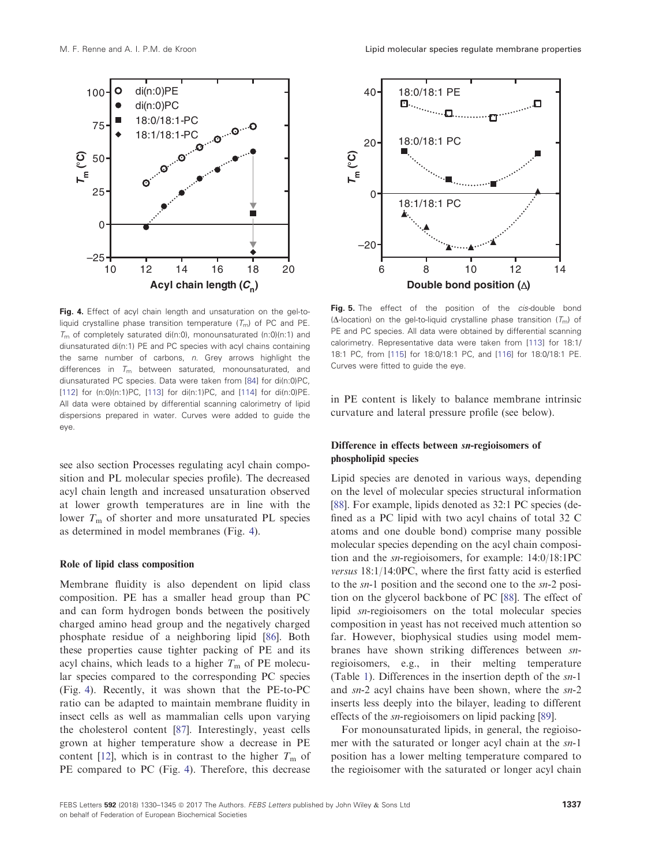<span id="page-7-0"></span>

Fig. 4. Effect of acyl chain length and unsaturation on the gel-toliquid crystalline phase transition temperature  $(T_m)$  of PC and PE.  $T<sub>m</sub>$  of completely saturated di(n:0), monounsaturated (n:0)(n:1) and diunsaturated di(n:1) PE and PC species with acyl chains containing the same number of carbons, n. Grey arrows highlight the differences in  $T_m$  between saturated, monounsaturated, and diunsaturated PC species. Data were taken from [\[84\]](#page-13-0) for di(n:0)PC, [[112](#page-14-0)] for (n:0)(n:1)PC, [\[113\]](#page-15-0) for di(n:1)PC, and [[114](#page-15-0)] for di(n:0)PE. All data were obtained by differential scanning calorimetry of lipid dispersions prepared in water. Curves were added to guide the eye.

see also section Processes regulating acyl chain composition and PL molecular species profile). The decreased acyl chain length and increased unsaturation observed at lower growth temperatures are in line with the lower  $T<sub>m</sub>$  of shorter and more unsaturated PL species as determined in model membranes (Fig. 4).

### Role of lipid class composition

Membrane fluidity is also dependent on lipid class composition. PE has a smaller head group than PC and can form hydrogen bonds between the positively charged amino head group and the negatively charged phosphate residue of a neighboring lipid [\[86\]](#page-14-0). Both these properties cause tighter packing of PE and its acyl chains, which leads to a higher  $T<sub>m</sub>$  of PE molecular species compared to the corresponding PC species (Fig. 4). Recently, it was shown that the PE-to-PC ratio can be adapted to maintain membrane fluidity in insect cells as well as mammalian cells upon varying the cholesterol content [\[87](#page-14-0)]. Interestingly, yeast cells grown at higher temperature show a decrease in PE content [[12](#page-11-0)], which is in contrast to the higher  $T<sub>m</sub>$  of PE compared to PC (Fig. 4). Therefore, this decrease



Fig. 5. The effect of the position of the *cis-*double bond ( $\Delta$ -location) on the gel-to-liquid crystalline phase transition  $(T<sub>m</sub>)$  of PE and PC species. All data were obtained by differential scanning calorimetry. Representative data were taken from [[113](#page-15-0)] for 18:1/ 18:1 PC, from [[115](#page-15-0)] for 18:0/18:1 PC, and [[116](#page-15-0)] for 18:0/18:1 PE. Curves were fitted to guide the eye.

in PE content is likely to balance membrane intrinsic curvature and lateral pressure profile (see below).

# Difference in effects between sn-regioisomers of phospholipid species

Lipid species are denoted in various ways, depending on the level of molecular species structural information [[88](#page-14-0)]. For example, lipids denoted as  $32:1$  PC species (defined as a PC lipid with two acyl chains of total 32 C atoms and one double bond) comprise many possible molecular species depending on the acyl chain composition and the sn-regioisomers, for example: 14:0/18:1PC versus 18:1/14:0PC, where the first fatty acid is esterfied to the sn-1 position and the second one to the sn-2 position on the glycerol backbone of PC [\[88\]](#page-14-0). The effect of lipid sn-regioisomers on the total molecular species composition in yeast has not received much attention so far. However, biophysical studies using model membranes have shown striking differences between snregioisomers, e.g., in their melting temperature (Table [1](#page-8-0)). Differences in the insertion depth of the sn-1 and sn-2 acyl chains have been shown, where the sn-2 inserts less deeply into the bilayer, leading to different effects of the sn-regioisomers on lipid packing [[89](#page-14-0)].

For monounsaturated lipids, in general, the regioisomer with the saturated or longer acyl chain at the sn-1 position has a lower melting temperature compared to the regioisomer with the saturated or longer acyl chain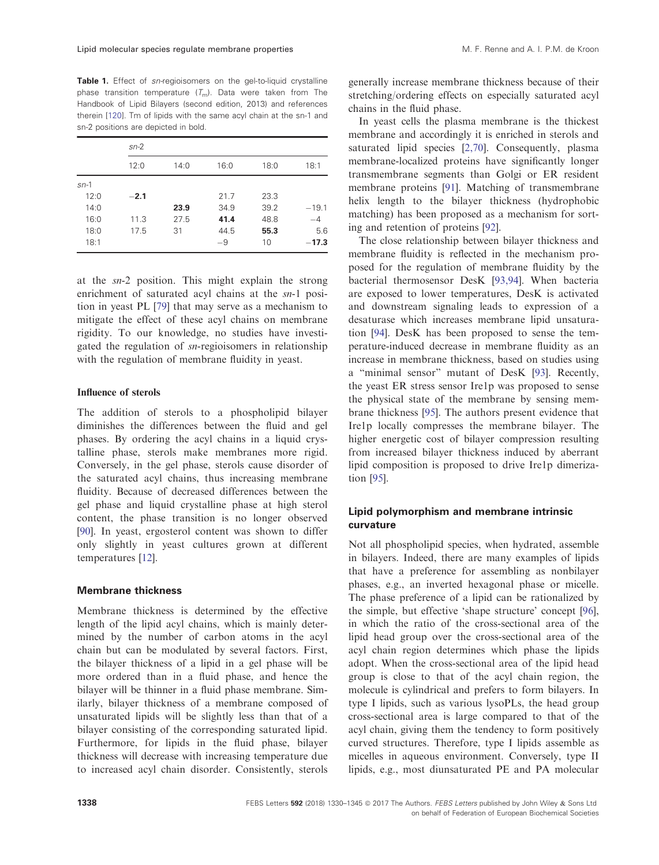<span id="page-8-0"></span>Table 1. Effect of sn-regioisomers on the gel-to-liquid crystalline phase transition temperature  $(T_m)$ . Data were taken from The Handbook of Lipid Bilayers (second edition, 2013) and references therein [[120\]](#page-15-0). Tm of lipids with the same acyl chain at the sn-1 and sn-2 positions are depicted in bold.

|        | $sn-2$ |      |      |      |         |
|--------|--------|------|------|------|---------|
|        | 12:0   | 14:0 | 16:0 | 18:0 | 18:1    |
| $sn-1$ |        |      |      |      |         |
| 12:0   | $-2.1$ |      | 21.7 | 23.3 |         |
| 14:0   |        | 23.9 | 34.9 | 39.2 | $-19.1$ |
| 16:0   | 11.3   | 27.5 | 41.4 | 48.8 | -4      |
| 18:0   | 17.5   | 31   | 44.5 | 55.3 | 5.6     |
| 18:1   |        |      | $-9$ | 10   | $-17.3$ |

at the sn-2 position. This might explain the strong enrichment of saturated acyl chains at the  $sn-1$  position in yeast PL [\[79\]](#page-13-0) that may serve as a mechanism to mitigate the effect of these acyl chains on membrane rigidity. To our knowledge, no studies have investigated the regulation of sn-regioisomers in relationship with the regulation of membrane fluidity in yeast.

## Influence of sterols

The addition of sterols to a phospholipid bilayer diminishes the differences between the fluid and gel phases. By ordering the acyl chains in a liquid crystalline phase, sterols make membranes more rigid. Conversely, in the gel phase, sterols cause disorder of the saturated acyl chains, thus increasing membrane fluidity. Because of decreased differences between the gel phase and liquid crystalline phase at high sterol content, the phase transition is no longer observed [\[90\]](#page-14-0). In yeast, ergosterol content was shown to differ only slightly in yeast cultures grown at different temperatures [\[12\]](#page-11-0).

## Membrane thickness

Membrane thickness is determined by the effective length of the lipid acyl chains, which is mainly determined by the number of carbon atoms in the acyl chain but can be modulated by several factors. First, the bilayer thickness of a lipid in a gel phase will be more ordered than in a fluid phase, and hence the bilayer will be thinner in a fluid phase membrane. Similarly, bilayer thickness of a membrane composed of unsaturated lipids will be slightly less than that of a bilayer consisting of the corresponding saturated lipid. Furthermore, for lipids in the fluid phase, bilayer thickness will decrease with increasing temperature due to increased acyl chain disorder. Consistently, sterols

generally increase membrane thickness because of their stretching/ordering effects on especially saturated acyl chains in the fluid phase.

In yeast cells the plasma membrane is the thickest membrane and accordingly it is enriched in sterols and saturated lipid species [\[2,70\]](#page-10-0). Consequently, plasma membrane-localized proteins have significantly longer transmembrane segments than Golgi or ER resident membrane proteins [\[91\]](#page-14-0). Matching of transmembrane helix length to the bilayer thickness (hydrophobic matching) has been proposed as a mechanism for sorting and retention of proteins [[92](#page-14-0)].

The close relationship between bilayer thickness and membrane fluidity is reflected in the mechanism proposed for the regulation of membrane fluidity by the bacterial thermosensor DesK [\[93,94\]](#page-14-0). When bacteria are exposed to lower temperatures, DesK is activated and downstream signaling leads to expression of a desaturase which increases membrane lipid unsaturation [\[94\]](#page-14-0). DesK has been proposed to sense the temperature-induced decrease in membrane fluidity as an increase in membrane thickness, based on studies using a "minimal sensor" mutant of DesK [[93\]](#page-14-0). Recently, the yeast ER stress sensor Ire1p was proposed to sense the physical state of the membrane by sensing membrane thickness [\[95\]](#page-14-0). The authors present evidence that Ire1p locally compresses the membrane bilayer. The higher energetic cost of bilayer compression resulting from increased bilayer thickness induced by aberrant lipid composition is proposed to drive Ire1p dimerization [[95](#page-14-0)].

# Lipid polymorphism and membrane intrinsic curvature

Not all phospholipid species, when hydrated, assemble in bilayers. Indeed, there are many examples of lipids that have a preference for assembling as nonbilayer phases, e.g., an inverted hexagonal phase or micelle. The phase preference of a lipid can be rationalized by the simple, but effective 'shape structure' concept [[96](#page-14-0)], in which the ratio of the cross-sectional area of the lipid head group over the cross-sectional area of the acyl chain region determines which phase the lipids adopt. When the cross-sectional area of the lipid head group is close to that of the acyl chain region, the molecule is cylindrical and prefers to form bilayers. In type I lipids, such as various lysoPLs, the head group cross-sectional area is large compared to that of the acyl chain, giving them the tendency to form positively curved structures. Therefore, type I lipids assemble as micelles in aqueous environment. Conversely, type II lipids, e.g., most diunsaturated PE and PA molecular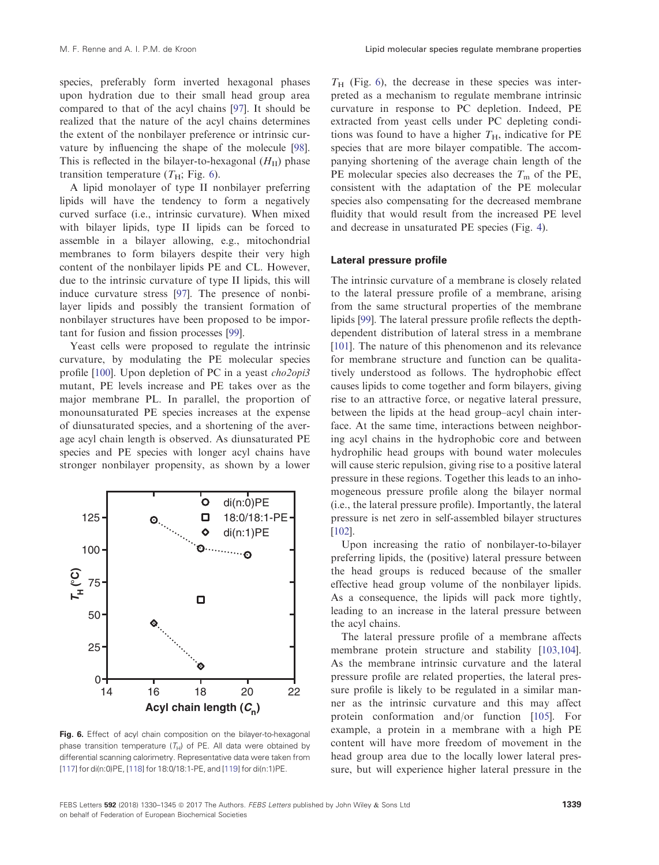species, preferably form inverted hexagonal phases upon hydration due to their small head group area compared to that of the acyl chains [[97](#page-14-0)]. It should be realized that the nature of the acyl chains determines the extent of the nonbilayer preference or intrinsic curvature by influencing the shape of the molecule [[98](#page-14-0)]. This is reflected in the bilayer-to-hexagonal  $(H<sub>II</sub>)$  phase transition temperature  $(T_H; Fig. 6)$ .

A lipid monolayer of type II nonbilayer preferring lipids will have the tendency to form a negatively curved surface (i.e., intrinsic curvature). When mixed with bilayer lipids, type II lipids can be forced to assemble in a bilayer allowing, e.g., mitochondrial membranes to form bilayers despite their very high content of the nonbilayer lipids PE and CL. However, due to the intrinsic curvature of type II lipids, this will induce curvature stress [\[97\]](#page-14-0). The presence of nonbilayer lipids and possibly the transient formation of nonbilayer structures have been proposed to be important for fusion and fission processes [[99](#page-14-0)].

Yeast cells were proposed to regulate the intrinsic curvature, by modulating the PE molecular species profile [[100\]](#page-14-0). Upon depletion of PC in a yeast *cho2opi3* mutant, PE levels increase and PE takes over as the major membrane PL. In parallel, the proportion of monounsaturated PE species increases at the expense of diunsaturated species, and a shortening of the average acyl chain length is observed. As diunsaturated PE species and PE species with longer acyl chains have stronger nonbilayer propensity, as shown by a lower



Fig. 6. Effect of acyl chain composition on the bilayer-to-hexagonal phase transition temperature  $(T_H)$  of PE. All data were obtained by differential scanning calorimetry. Representative data were taken from [[117](#page-15-0)] for di(n:0)PE, [\[118\]](#page-15-0) for 18:0/18:1-PE, and [[119\]](#page-15-0) for di(n:1)PE.

 $T_H$  (Fig. 6), the decrease in these species was interpreted as a mechanism to regulate membrane intrinsic curvature in response to PC depletion. Indeed, PE extracted from yeast cells under PC depleting conditions was found to have a higher  $T_H$ , indicative for PE species that are more bilayer compatible. The accompanying shortening of the average chain length of the PE molecular species also decreases the  $T<sub>m</sub>$  of the PE, consistent with the adaptation of the PE molecular species also compensating for the decreased membrane fluidity that would result from the increased PE level and decrease in unsaturated PE species (Fig. [4\)](#page-7-0).

## Lateral pressure profile

The intrinsic curvature of a membrane is closely related to the lateral pressure profile of a membrane, arising from the same structural properties of the membrane lipids [[99](#page-14-0)]. The lateral pressure profile reflects the depthdependent distribution of lateral stress in a membrane [[101\]](#page-14-0). The nature of this phenomenon and its relevance for membrane structure and function can be qualitatively understood as follows. The hydrophobic effect causes lipids to come together and form bilayers, giving rise to an attractive force, or negative lateral pressure, between the lipids at the head group–acyl chain interface. At the same time, interactions between neighboring acyl chains in the hydrophobic core and between hydrophilic head groups with bound water molecules will cause steric repulsion, giving rise to a positive lateral pressure in these regions. Together this leads to an inhomogeneous pressure profile along the bilayer normal (i.e., the lateral pressure profile). Importantly, the lateral pressure is net zero in self-assembled bilayer structures [[102\]](#page-14-0).

Upon increasing the ratio of nonbilayer-to-bilayer preferring lipids, the (positive) lateral pressure between the head groups is reduced because of the smaller effective head group volume of the nonbilayer lipids. As a consequence, the lipids will pack more tightly, leading to an increase in the lateral pressure between the acyl chains.

The lateral pressure profile of a membrane affects membrane protein structure and stability [\[103,104](#page-14-0)]. As the membrane intrinsic curvature and the lateral pressure profile are related properties, the lateral pressure profile is likely to be regulated in a similar manner as the intrinsic curvature and this may affect protein conformation and/or function [\[105](#page-14-0)]. For example, a protein in a membrane with a high PE content will have more freedom of movement in the head group area due to the locally lower lateral pressure, but will experience higher lateral pressure in the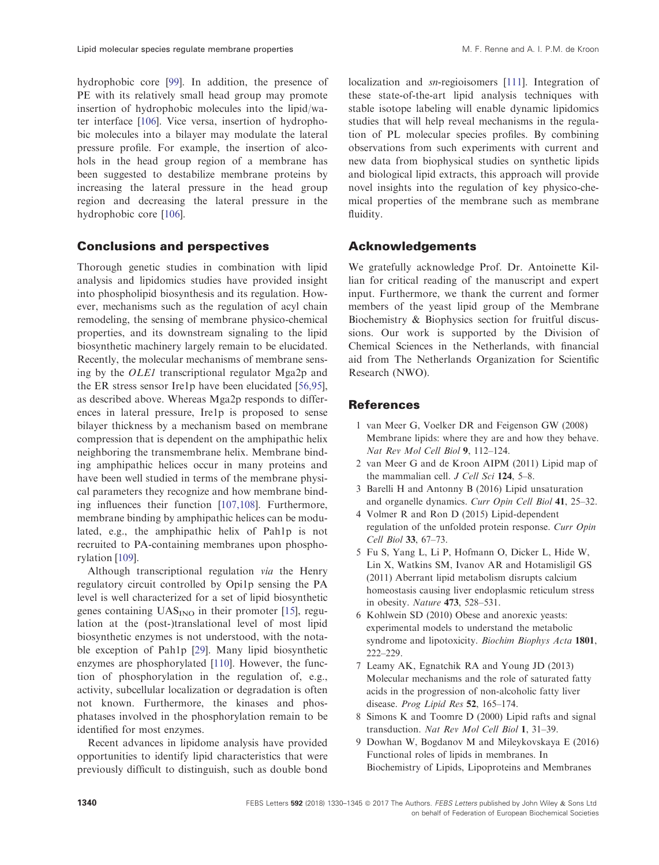<span id="page-10-0"></span>hydrophobic core [[99\]](#page-14-0). In addition, the presence of PE with its relatively small head group may promote insertion of hydrophobic molecules into the lipid/water interface [[106](#page-14-0)]. Vice versa, insertion of hydrophobic molecules into a bilayer may modulate the lateral pressure profile. For example, the insertion of alcohols in the head group region of a membrane has been suggested to destabilize membrane proteins by increasing the lateral pressure in the head group region and decreasing the lateral pressure in the hydrophobic core [\[106\]](#page-14-0).

# Conclusions and perspectives

Thorough genetic studies in combination with lipid analysis and lipidomics studies have provided insight into phospholipid biosynthesis and its regulation. However, mechanisms such as the regulation of acyl chain remodeling, the sensing of membrane physico-chemical properties, and its downstream signaling to the lipid biosynthetic machinery largely remain to be elucidated. Recently, the molecular mechanisms of membrane sensing by the OLE1 transcriptional regulator Mga2p and the ER stress sensor Ire1p have been elucidated [[56,95](#page-12-0)], as described above. Whereas Mga2p responds to differences in lateral pressure, Ire1p is proposed to sense bilayer thickness by a mechanism based on membrane compression that is dependent on the amphipathic helix neighboring the transmembrane helix. Membrane binding amphipathic helices occur in many proteins and have been well studied in terms of the membrane physical parameters they recognize and how membrane binding influences their function [[107,108\]](#page-14-0). Furthermore, membrane binding by amphipathic helices can be modulated, e.g., the amphipathic helix of Pah1p is not recruited to PA-containing membranes upon phosphorylation [\[109\]](#page-14-0).

Although transcriptional regulation via the Henry regulatory circuit controlled by Opi1p sensing the PA level is well characterized for a set of lipid biosynthetic genes containing  $UAS_{INO}$  in their promoter [\[15\]](#page-11-0), regulation at the (post-)translational level of most lipid biosynthetic enzymes is not understood, with the notable exception of Pah1p [\[29](#page-11-0)]. Many lipid biosynthetic enzymes are phosphorylated [\[110](#page-14-0)]. However, the function of phosphorylation in the regulation of, e.g., activity, subcellular localization or degradation is often not known. Furthermore, the kinases and phosphatases involved in the phosphorylation remain to be identified for most enzymes.

Recent advances in lipidome analysis have provided opportunities to identify lipid characteristics that were previously difficult to distinguish, such as double bond

localization and *sn*-regioisomers [[111\]](#page-14-0). Integration of these state-of-the-art lipid analysis techniques with stable isotope labeling will enable dynamic lipidomics studies that will help reveal mechanisms in the regulation of PL molecular species profiles. By combining observations from such experiments with current and new data from biophysical studies on synthetic lipids and biological lipid extracts, this approach will provide novel insights into the regulation of key physico-chemical properties of the membrane such as membrane fluidity.

# Acknowledgements

We gratefully acknowledge Prof. Dr. Antoinette Killian for critical reading of the manuscript and expert input. Furthermore, we thank the current and former members of the yeast lipid group of the Membrane Biochemistry & Biophysics section for fruitful discussions. Our work is supported by the Division of Chemical Sciences in the Netherlands, with financial aid from The Netherlands Organization for Scientific Research (NWO).

# **References**

- 1 van Meer G, Voelker DR and Feigenson GW (2008) Membrane lipids: where they are and how they behave. Nat Rev Mol Cell Biol 9, 112–124.
- 2 van Meer G and de Kroon AIPM (2011) Lipid map of the mammalian cell. J Cell Sci 124, 5-8.
- 3 Barelli H and Antonny B (2016) Lipid unsaturation and organelle dynamics. Curr Opin Cell Biol 41, 25–32.
- 4 Volmer R and Ron D (2015) Lipid-dependent regulation of the unfolded protein response. Curr Opin Cell Biol 33, 67–73.
- 5 Fu S, Yang L, Li P, Hofmann O, Dicker L, Hide W, Lin X, Watkins SM, Ivanov AR and Hotamisligil GS (2011) Aberrant lipid metabolism disrupts calcium homeostasis causing liver endoplasmic reticulum stress in obesity. Nature 473, 528–531.
- 6 Kohlwein SD (2010) Obese and anorexic yeasts: experimental models to understand the metabolic syndrome and lipotoxicity. Biochim Biophys Acta 1801, 222–229.
- 7 Leamy AK, Egnatchik RA and Young JD (2013) Molecular mechanisms and the role of saturated fatty acids in the progression of non-alcoholic fatty liver disease. Prog Lipid Res 52, 165-174.
- 8 Simons K and Toomre D (2000) Lipid rafts and signal transduction. Nat Rev Mol Cell Biol 1, 31–39.
- 9 Dowhan W, Bogdanov M and Mileykovskaya E (2016) Functional roles of lipids in membranes. In Biochemistry of Lipids, Lipoproteins and Membranes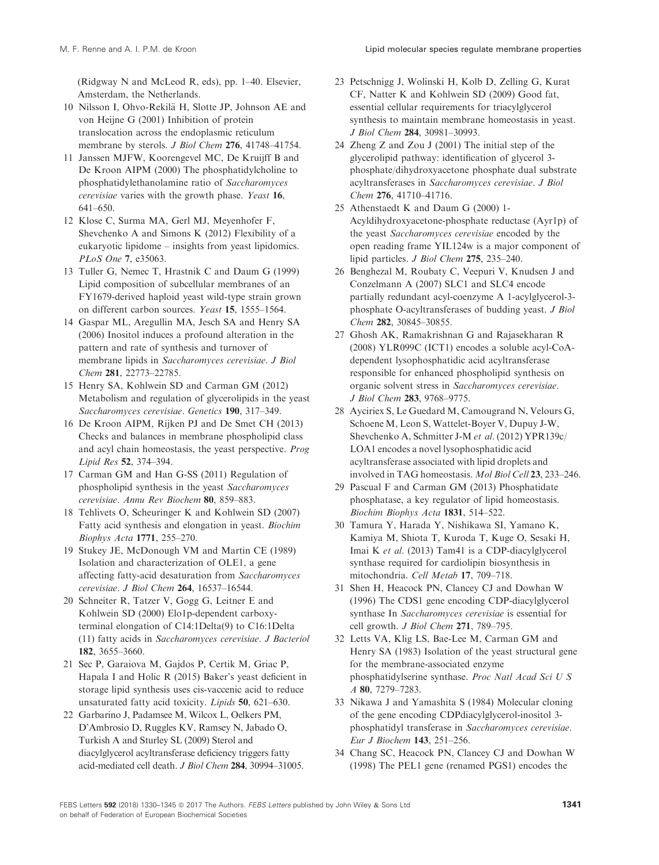<span id="page-11-0"></span>(Ridgway N and McLeod R, eds), pp. 1–40. Elsevier, Amsterdam, the Netherlands.

- 10 Nilsson I, Ohvo-Rekilä H, Slotte JP, Johnson AE and von Heijne G (2001) Inhibition of protein translocation across the endoplasmic reticulum membrane by sterols. *J Biol Chem* 276, 41748-41754.
- 11 Janssen MJFW, Koorengevel MC, De Kruijff B and De Kroon AIPM (2000) The phosphatidylcholine to phosphatidylethanolamine ratio of Saccharomyces cerevisiae varies with the growth phase. Yeast 16, 641–650.
- 12 Klose C, Surma MA, Gerl MJ, Meyenhofer F, Shevchenko A and Simons K (2012) Flexibility of a eukaryotic lipidome – insights from yeast lipidomics. PLoS One 7, e35063.
- 13 Tuller G, Nemec T, Hrastnik C and Daum G (1999) Lipid composition of subcellular membranes of an FY1679-derived haploid yeast wild-type strain grown on different carbon sources. Yeast 15, 1555–1564.
- 14 Gaspar ML, Aregullin MA, Jesch SA and Henry SA (2006) Inositol induces a profound alteration in the pattern and rate of synthesis and turnover of membrane lipids in Saccharomyces cerevisiae. J Biol Chem 281, 22773–22785.
- 15 Henry SA, Kohlwein SD and Carman GM (2012) Metabolism and regulation of glycerolipids in the yeast Saccharomyces cerevisiae. Genetics 190, 317–349.
- 16 De Kroon AIPM, Rijken PJ and De Smet CH (2013) Checks and balances in membrane phospholipid class and acyl chain homeostasis, the yeast perspective. Prog Lipid Res 52, 374–394.
- 17 Carman GM and Han G-SS (2011) Regulation of phospholipid synthesis in the yeast Saccharomyces cerevisiae. Annu Rev Biochem 80, 859–883.
- 18 Tehlivets O, Scheuringer K and Kohlwein SD (2007) Fatty acid synthesis and elongation in yeast. Biochim Biophys Acta 1771, 255–270.
- 19 Stukey JE, McDonough VM and Martin CE (1989) Isolation and characterization of OLE1, a gene affecting fatty-acid desaturation from Saccharomyces cerevisiae. J Biol Chem 264, 16537–16544.
- 20 Schneiter R, Tatzer V, Gogg G, Leitner E and Kohlwein SD (2000) Elo1p-dependent carboxyterminal elongation of C14:1Delta(9) to C16:1Delta (11) fatty acids in Saccharomyces cerevisiae. J Bacteriol 182, 3655–3660.
- 21 Sec P, Garaiova M, Gajdos P, Certik M, Griac P, Hapala I and Holic R (2015) Baker's yeast deficient in storage lipid synthesis uses cis-vaccenic acid to reduce unsaturated fatty acid toxicity. Lipids 50, 621–630.
- 22 Garbarino J, Padamsee M, Wilcox L, Oelkers PM, D'Ambrosio D, Ruggles KV, Ramsey N, Jabado O, Turkish A and Sturley SL (2009) Sterol and diacylglycerol acyltransferase deficiency triggers fatty acid-mediated cell death. J Biol Chem 284, 30994–31005.
- 23 Petschnigg J, Wolinski H, Kolb D, Zelling G, Kurat CF, Natter K and Kohlwein SD (2009) Good fat, essential cellular requirements for triacylglycerol synthesis to maintain membrane homeostasis in yeast. J Biol Chem 284, 30981–30993.
- 24 Zheng Z and Zou J (2001) The initial step of the glycerolipid pathway: identification of glycerol 3 phosphate/dihydroxyacetone phosphate dual substrate acyltransferases in Saccharomyces cerevisiae. J Biol Chem 276, 41710–41716.
- 25 Athenstaedt K and Daum G (2000) 1- Acyldihydroxyacetone-phosphate reductase (Ayr1p) of the yeast Saccharomyces cerevisiae encoded by the open reading frame YIL124w is a major component of lipid particles. J Biol Chem 275, 235–240.
- 26 Benghezal M, Roubaty C, Veepuri V, Knudsen J and Conzelmann A (2007) SLC1 and SLC4 encode partially redundant acyl-coenzyme A 1-acylglycerol-3 phosphate O-acyltransferases of budding yeast. J Biol Chem 282, 30845–30855.
- 27 Ghosh AK, Ramakrishnan G and Rajasekharan R (2008) YLR099C (ICT1) encodes a soluble acyl-CoAdependent lysophosphatidic acid acyltransferase responsible for enhanced phospholipid synthesis on organic solvent stress in Saccharomyces cerevisiae. J Biol Chem 283, 9768–9775.
- 28 Ayciriex S, Le Guedard M, Camougrand N, Velours G, Schoene M, Leon S, Wattelet-Boyer V, Dupuy J-W, Shevchenko A, Schmitter J-M et al. (2012) YPR139c/ LOA1 encodes a novel lysophosphatidic acid acyltransferase associated with lipid droplets and involved in TAG homeostasis. Mol Biol Cell 23, 233–246.
- 29 Pascual F and Carman GM (2013) Phosphatidate phosphatase, a key regulator of lipid homeostasis. Biochim Biophys Acta 1831, 514–522.
- 30 Tamura Y, Harada Y, Nishikawa SI, Yamano K, Kamiya M, Shiota T, Kuroda T, Kuge O, Sesaki H, Imai K et al. (2013) Tam41 is a CDP-diacylglycerol synthase required for cardiolipin biosynthesis in mitochondria. Cell Metab 17, 709–718.
- 31 Shen H, Heacock PN, Clancey CJ and Dowhan W (1996) The CDS1 gene encoding CDP-diacylglycerol synthase In Saccharomyces cerevisiae is essential for cell growth. J Biol Chem 271, 789–795.
- 32 Letts VA, Klig LS, Bae-Lee M, Carman GM and Henry SA (1983) Isolation of the yeast structural gene for the membrane-associated enzyme phosphatidylserine synthase. Proc Natl Acad Sci U S A 80, 7279–7283.
- 33 Nikawa J and Yamashita S (1984) Molecular cloning of the gene encoding CDPdiacylglycerol-inositol 3 phosphatidyl transferase in Saccharomyces cerevisiae. Eur J Biochem 143, 251–256.
- 34 Chang SC, Heacock PN, Clancey CJ and Dowhan W (1998) The PEL1 gene (renamed PGS1) encodes the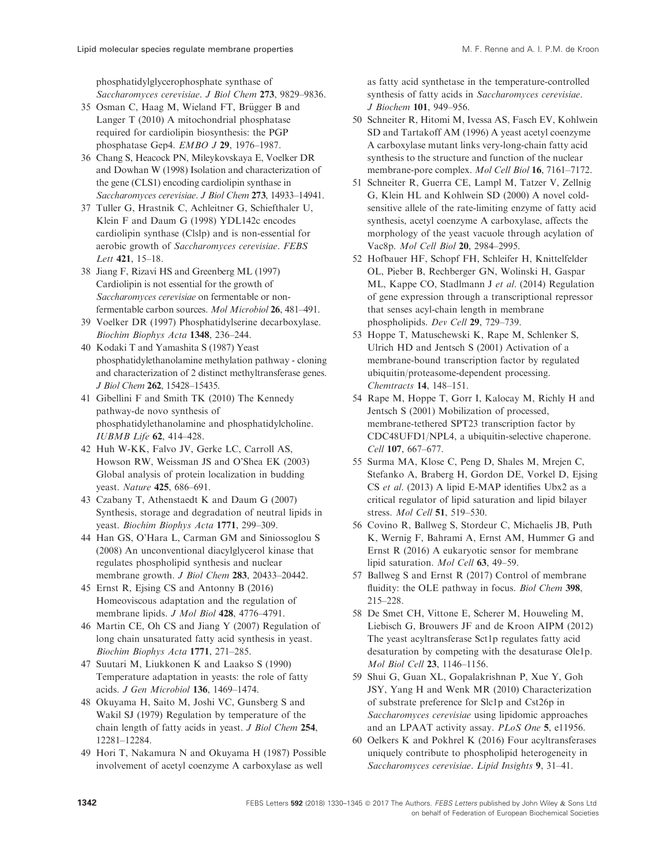<span id="page-12-0"></span>phosphatidylglycerophosphate synthase of Saccharomyces cerevisiae. J Biol Chem 273, 9829–9836.

- 35 Osman C, Haag M, Wieland FT, Brügger B and Langer T (2010) A mitochondrial phosphatase required for cardiolipin biosynthesis: the PGP phosphatase Gep4. EMBO J 29, 1976–1987.
- 36 Chang S, Heacock PN, Mileykovskaya E, Voelker DR and Dowhan W (1998) Isolation and characterization of the gene (CLS1) encoding cardiolipin synthase in Saccharomyces cerevisiae. J Biol Chem 273, 14933–14941.
- 37 Tuller G, Hrastnik C, Achleitner G, Schiefthaler U, Klein F and Daum G (1998) YDL142c encodes cardiolipin synthase (Clslp) and is non-essential for aerobic growth of Saccharomyces cerevisiae. FEBS Lett 421, 15–18.
- 38 Jiang F, Rizavi HS and Greenberg ML (1997) Cardiolipin is not essential for the growth of Saccharomyces cerevisiae on fermentable or nonfermentable carbon sources. Mol Microbiol 26, 481–491.
- 39 Voelker DR (1997) Phosphatidylserine decarboxylase. Biochim Biophys Acta 1348, 236–244.
- 40 Kodaki T and Yamashita S (1987) Yeast phosphatidylethanolamine methylation pathway - cloning and characterization of 2 distinct methyltransferase genes. J Biol Chem 262, 15428–15435.
- 41 Gibellini F and Smith TK (2010) The Kennedy pathway-de novo synthesis of phosphatidylethanolamine and phosphatidylcholine. IUBMB Life 62, 414–428.
- 42 Huh W-KK, Falvo JV, Gerke LC, Carroll AS, Howson RW, Weissman JS and O'Shea EK (2003) Global analysis of protein localization in budding yeast. Nature 425, 686–691.
- 43 Czabany T, Athenstaedt K and Daum G (2007) Synthesis, storage and degradation of neutral lipids in yeast. Biochim Biophys Acta 1771, 299–309.
- 44 Han GS, O'Hara L, Carman GM and Siniossoglou S (2008) An unconventional diacylglycerol kinase that regulates phospholipid synthesis and nuclear membrane growth. J Biol Chem 283, 20433-20442.
- 45 Ernst R, Ejsing CS and Antonny B (2016) Homeoviscous adaptation and the regulation of membrane lipids. J Mol Biol 428, 4776-4791.
- 46 Martin CE, Oh CS and Jiang Y (2007) Regulation of long chain unsaturated fatty acid synthesis in yeast. Biochim Biophys Acta 1771, 271–285.
- 47 Suutari M, Liukkonen K and Laakso S (1990) Temperature adaptation in yeasts: the role of fatty acids. J Gen Microbiol 136, 1469–1474.
- 48 Okuyama H, Saito M, Joshi VC, Gunsberg S and Wakil SJ (1979) Regulation by temperature of the chain length of fatty acids in yeast. J Biol Chem 254, 12281–12284.
- 49 Hori T, Nakamura N and Okuyama H (1987) Possible involvement of acetyl coenzyme A carboxylase as well

as fatty acid synthetase in the temperature-controlled synthesis of fatty acids in Saccharomyces cerevisiae. J Biochem 101, 949–956.

- 50 Schneiter R, Hitomi M, Ivessa AS, Fasch EV, Kohlwein SD and Tartakoff AM (1996) A yeast acetyl coenzyme A carboxylase mutant links very-long-chain fatty acid synthesis to the structure and function of the nuclear membrane-pore complex. Mol Cell Biol 16, 7161–7172.
- 51 Schneiter R, Guerra CE, Lampl M, Tatzer V, Zellnig G, Klein HL and Kohlwein SD (2000) A novel coldsensitive allele of the rate-limiting enzyme of fatty acid synthesis, acetyl coenzyme A carboxylase, affects the morphology of the yeast vacuole through acylation of Vac8p. Mol Cell Biol 20, 2984–2995.
- 52 Hofbauer HF, Schopf FH, Schleifer H, Knittelfelder OL, Pieber B, Rechberger GN, Wolinski H, Gaspar ML, Kappe CO, Stadlmann J et al. (2014) Regulation of gene expression through a transcriptional repressor that senses acyl-chain length in membrane phospholipids. Dev Cell 29, 729–739.
- 53 Hoppe T, Matuschewski K, Rape M, Schlenker S, Ulrich HD and Jentsch S (2001) Activation of a membrane-bound transcription factor by regulated ubiquitin/proteasome-dependent processing. Chemtracts 14, 148–151.
- 54 Rape M, Hoppe T, Gorr I, Kalocay M, Richly H and Jentsch S (2001) Mobilization of processed, membrane-tethered SPT23 transcription factor by CDC48UFD1/NPL4, a ubiquitin-selective chaperone. Cell 107, 667–677.
- 55 Surma MA, Klose C, Peng D, Shales M, Mrejen C, Stefanko A, Braberg H, Gordon DE, Vorkel D, Ejsing CS et al. (2013) A lipid E-MAP identifies Ubx2 as a critical regulator of lipid saturation and lipid bilayer stress. Mol Cell 51, 519–530.
- 56 Covino R, Ballweg S, Stordeur C, Michaelis JB, Puth K, Wernig F, Bahrami A, Ernst AM, Hummer G and Ernst R (2016) A eukaryotic sensor for membrane lipid saturation. Mol Cell 63, 49–59.
- 57 Ballweg S and Ernst R (2017) Control of membrane fluidity: the OLE pathway in focus. Biol Chem 398, 215–228.
- 58 De Smet CH, Vittone E, Scherer M, Houweling M, Liebisch G, Brouwers JF and de Kroon AIPM (2012) The yeast acyltransferase Sct1p regulates fatty acid desaturation by competing with the desaturase Ole1p. Mol Biol Cell 23, 1146–1156.
- 59 Shui G, Guan XL, Gopalakrishnan P, Xue Y, Goh JSY, Yang H and Wenk MR (2010) Characterization of substrate preference for Slc1p and Cst26p in Saccharomyces cerevisiae using lipidomic approaches and an LPAAT activity assay. PLoS One 5, e11956.
- 60 Oelkers K and Pokhrel K (2016) Four acyltransferases uniquely contribute to phospholipid heterogeneity in Saccharomyces cerevisiae. Lipid Insights 9, 31–41.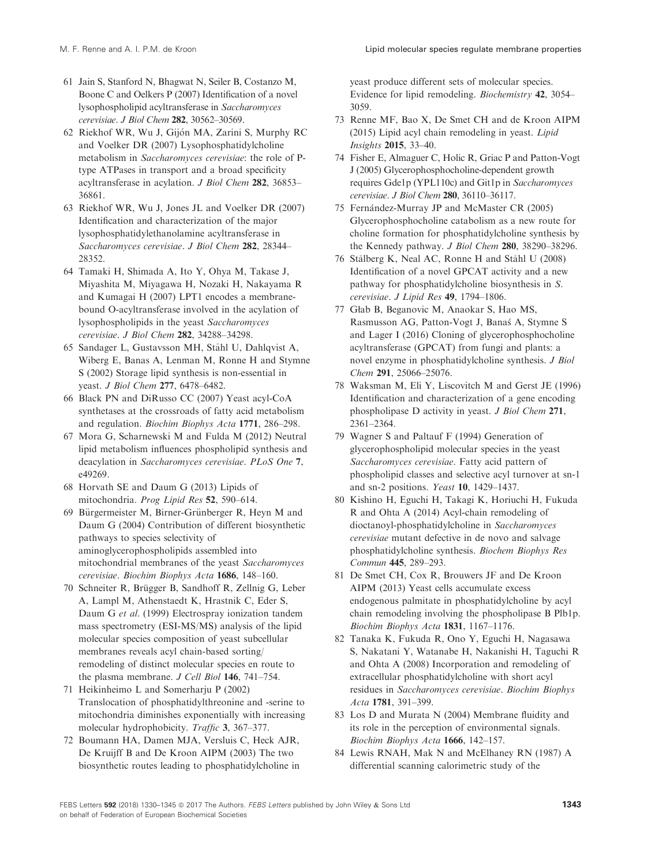- <span id="page-13-0"></span>61 Jain S, Stanford N, Bhagwat N, Seiler B, Costanzo M, Boone C and Oelkers P (2007) Identification of a novel lysophospholipid acyltransferase in Saccharomyces cerevisiae. J Biol Chem 282, 30562–30569.
- 62 Riekhof WR, Wu J, Gijon MA, Zarini S, Murphy RC and Voelker DR (2007) Lysophosphatidylcholine metabolism in Saccharomyces cerevisiae: the role of Ptype ATPases in transport and a broad specificity acyltransferase in acylation. J Biol Chem 282, 36853– 36861.
- 63 Riekhof WR, Wu J, Jones JL and Voelker DR (2007) Identification and characterization of the major lysophosphatidylethanolamine acyltransferase in Saccharomyces cerevisiae. J Biol Chem 282, 28344– 28352.
- 64 Tamaki H, Shimada A, Ito Y, Ohya M, Takase J, Miyashita M, Miyagawa H, Nozaki H, Nakayama R and Kumagai H (2007) LPT1 encodes a membranebound O-acyltransferase involved in the acylation of lysophospholipids in the yeast Saccharomyces cerevisiae. J Biol Chem 282, 34288–34298.
- 65 Sandager L, Gustavsson MH, Stahl U, Dahlqvist A, Wiberg E, Banas A, Lenman M, Ronne H and Stymne S (2002) Storage lipid synthesis is non-essential in yeast. J Biol Chem 277, 6478–6482.
- 66 Black PN and DiRusso CC (2007) Yeast acyl-CoA synthetases at the crossroads of fatty acid metabolism and regulation. Biochim Biophys Acta 1771, 286–298.
- 67 Mora G, Scharnewski M and Fulda M (2012) Neutral lipid metabolism influences phospholipid synthesis and deacylation in Saccharomyces cerevisiae. PLoS One 7, e49269.
- 68 Horvath SE and Daum G (2013) Lipids of mitochondria. Prog Lipid Res 52, 590–614.
- 69 Bürgermeister M, Birner-Grünberger R, Heyn M and Daum G (2004) Contribution of different biosynthetic pathways to species selectivity of aminoglycerophospholipids assembled into mitochondrial membranes of the yeast Saccharomyces cerevisiae. Biochim Biophys Acta 1686, 148–160.
- 70 Schneiter R, Brügger B, Sandhoff R, Zellnig G, Leber A, Lampl M, Athenstaedt K, Hrastnik C, Eder S, Daum G et al. (1999) Electrospray ionization tandem mass spectrometry (ESI-MS/MS) analysis of the lipid molecular species composition of yeast subcellular membranes reveals acyl chain-based sorting/ remodeling of distinct molecular species en route to the plasma membrane. J Cell Biol 146, 741–754.
- 71 Heikinheimo L and Somerharju P (2002) Translocation of phosphatidylthreonine and -serine to mitochondria diminishes exponentially with increasing molecular hydrophobicity. Traffic 3, 367–377.
- 72 Boumann HA, Damen MJA, Versluis C, Heck AJR, De Kruijff B and De Kroon AIPM (2003) The two biosynthetic routes leading to phosphatidylcholine in

yeast produce different sets of molecular species. Evidence for lipid remodeling. Biochemistry 42, 3054– 3059.

- 73 Renne MF, Bao X, De Smet CH and de Kroon AIPM (2015) Lipid acyl chain remodeling in yeast. Lipid Insights 2015, 33–40.
- 74 Fisher E, Almaguer C, Holic R, Griac P and Patton-Vogt J (2005) Glycerophosphocholine-dependent growth requires Gde1p (YPL110c) and Git1p in Saccharomyces cerevisiae. J Biol Chem 280, 36110–36117.
- 75 Fernández-Murray JP and McMaster CR (2005) Glycerophosphocholine catabolism as a new route for choline formation for phosphatidylcholine synthesis by the Kennedy pathway. J Biol Chem 280, 38290–38296.
- 76 Stalberg K, Neal AC, Ronne H and Stahl U (2008) Identification of a novel GPCAT activity and a new pathway for phosphatidylcholine biosynthesis in S. cerevisiae. J Lipid Res 49, 1794–1806.
- 77 Głab B, Beganovic M, Anaokar S, Hao MS, Rasmusson AG, Patton-Vogt J, Banas A, Stymne S and Lager I (2016) Cloning of glycerophosphocholine acyltransferase (GPCAT) from fungi and plants: a novel enzyme in phosphatidylcholine synthesis. J Biol Chem 291, 25066–25076.
- 78 Waksman M, Eli Y, Liscovitch M and Gerst JE (1996) Identification and characterization of a gene encoding phospholipase D activity in yeast. J Biol Chem 271, 2361–2364.
- 79 Wagner S and Paltauf F (1994) Generation of glycerophospholipid molecular species in the yeast Saccharomyces cerevisiae. Fatty acid pattern of phospholipid classes and selective acyl turnover at sn-1 and sn-2 positions. Yeast 10, 1429–1437.
- 80 Kishino H, Eguchi H, Takagi K, Horiuchi H, Fukuda R and Ohta A (2014) Acyl-chain remodeling of dioctanoyl-phosphatidylcholine in Saccharomyces cerevisiae mutant defective in de novo and salvage phosphatidylcholine synthesis. Biochem Biophys Res Commun 445, 289–293.
- 81 De Smet CH, Cox R, Brouwers JF and De Kroon AIPM (2013) Yeast cells accumulate excess endogenous palmitate in phosphatidylcholine by acyl chain remodeling involving the phospholipase B Plb1p. Biochim Biophys Acta 1831, 1167–1176.
- 82 Tanaka K, Fukuda R, Ono Y, Eguchi H, Nagasawa S, Nakatani Y, Watanabe H, Nakanishi H, Taguchi R and Ohta A (2008) Incorporation and remodeling of extracellular phosphatidylcholine with short acyl residues in Saccharomyces cerevisiae. Biochim Biophys Acta 1781, 391–399.
- 83 Los D and Murata N (2004) Membrane fluidity and its role in the perception of environmental signals. Biochim Biophys Acta 1666, 142–157.
- 84 Lewis RNAH, Mak N and McElhaney RN (1987) A differential scanning calorimetric study of the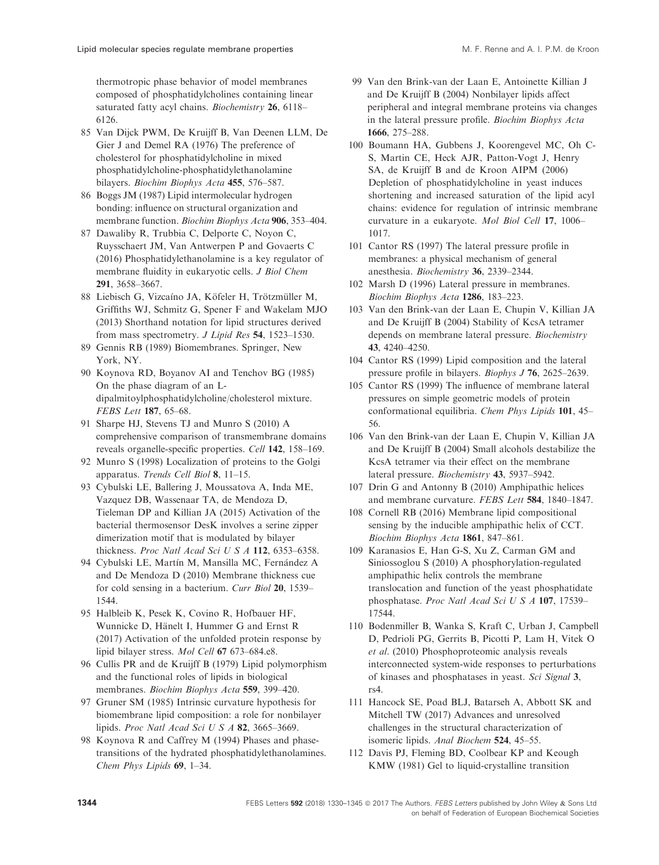<span id="page-14-0"></span>thermotropic phase behavior of model membranes composed of phosphatidylcholines containing linear saturated fatty acyl chains. Biochemistry 26, 6118– 6126.

- 85 Van Dijck PWM, De Kruijff B, Van Deenen LLM, De Gier J and Demel RA (1976) The preference of cholesterol for phosphatidylcholine in mixed phosphatidylcholine-phosphatidylethanolamine bilayers. Biochim Biophys Acta 455, 576–587.
- 86 Boggs JM (1987) Lipid intermolecular hydrogen bonding: influence on structural organization and membrane function. Biochim Biophys Acta 906, 353–404.
- 87 Dawaliby R, Trubbia C, Delporte C, Noyon C, Ruysschaert JM, Van Antwerpen P and Govaerts C (2016) Phosphatidylethanolamine is a key regulator of membrane fluidity in eukaryotic cells. J Biol Chem 291, 3658–3667.
- 88 Liebisch G, Vizcaíno JA, Köfeler H, Trötzmüller M, Griffiths WJ, Schmitz G, Spener F and Wakelam MJO (2013) Shorthand notation for lipid structures derived from mass spectrometry. J Lipid Res 54, 1523–1530.
- 89 Gennis RB (1989) Biomembranes. Springer, New York, NY.
- 90 Koynova RD, Boyanov AI and Tenchov BG (1985) On the phase diagram of an Ldipalmitoylphosphatidylcholine/cholesterol mixture. FEBS Lett 187, 65–68.
- 91 Sharpe HJ, Stevens TJ and Munro S (2010) A comprehensive comparison of transmembrane domains reveals organelle-specific properties. Cell 142, 158–169.
- 92 Munro S (1998) Localization of proteins to the Golgi apparatus. Trends Cell Biol 8, 11–15.
- 93 Cybulski LE, Ballering J, Moussatova A, Inda ME, Vazquez DB, Wassenaar TA, de Mendoza D, Tieleman DP and Killian JA (2015) Activation of the bacterial thermosensor DesK involves a serine zipper dimerization motif that is modulated by bilayer thickness. Proc Natl Acad Sci U S A 112, 6353–6358.
- 94 Cybulski LE, Martín M, Mansilla MC, Fernández A and De Mendoza D (2010) Membrane thickness cue for cold sensing in a bacterium. Curr Biol 20, 1539– 1544.
- 95 Halbleib K, Pesek K, Covino R, Hofbauer HF, Wunnicke D, Hänelt I, Hummer G and Ernst R (2017) Activation of the unfolded protein response by lipid bilayer stress. Mol Cell 67 673–684.e8.
- 96 Cullis PR and de Kruijff B (1979) Lipid polymorphism and the functional roles of lipids in biological membranes. Biochim Biophys Acta 559, 399–420.
- 97 Gruner SM (1985) Intrinsic curvature hypothesis for biomembrane lipid composition: a role for nonbilayer lipids. Proc Natl Acad Sci U S A 82, 3665–3669.
- 98 Koynova R and Caffrey M (1994) Phases and phasetransitions of the hydrated phosphatidylethanolamines. Chem Phys Lipids 69, 1–34.
- 99 Van den Brink-van der Laan E, Antoinette Killian J and De Kruijff B (2004) Nonbilayer lipids affect peripheral and integral membrane proteins via changes in the lateral pressure profile. Biochim Biophys Acta 1666, 275–288.
- 100 Boumann HA, Gubbens J, Koorengevel MC, Oh C-S, Martin CE, Heck AJR, Patton-Vogt J, Henry SA, de Kruijff B and de Kroon AIPM (2006) Depletion of phosphatidylcholine in yeast induces shortening and increased saturation of the lipid acyl chains: evidence for regulation of intrinsic membrane curvature in a eukaryote. Mol Biol Cell 17, 1006– 1017.
- 101 Cantor RS (1997) The lateral pressure profile in membranes: a physical mechanism of general anesthesia. Biochemistry 36, 2339–2344.
- 102 Marsh D (1996) Lateral pressure in membranes. Biochim Biophys Acta 1286, 183–223.
- 103 Van den Brink-van der Laan E, Chupin V, Killian JA and De Kruijff B (2004) Stability of KcsA tetramer depends on membrane lateral pressure. Biochemistry 43, 4240–4250.
- 104 Cantor RS (1999) Lipid composition and the lateral pressure profile in bilayers. Biophys J 76, 2625–2639.
- 105 Cantor RS (1999) The influence of membrane lateral pressures on simple geometric models of protein conformational equilibria. Chem Phys Lipids 101, 45– 56.
- 106 Van den Brink-van der Laan E, Chupin V, Killian JA and De Kruijff B (2004) Small alcohols destabilize the KcsA tetramer via their effect on the membrane lateral pressure. Biochemistry 43, 5937–5942.
- 107 Drin G and Antonny B (2010) Amphipathic helices and membrane curvature. FEBS Lett 584, 1840–1847.
- 108 Cornell RB (2016) Membrane lipid compositional sensing by the inducible amphipathic helix of CCT. Biochim Biophys Acta 1861, 847–861.
- 109 Karanasios E, Han G-S, Xu Z, Carman GM and Siniossoglou S (2010) A phosphorylation-regulated amphipathic helix controls the membrane translocation and function of the yeast phosphatidate phosphatase. Proc Natl Acad Sci U S A 107, 17539– 17544.
- 110 Bodenmiller B, Wanka S, Kraft C, Urban J, Campbell D, Pedrioli PG, Gerrits B, Picotti P, Lam H, Vitek O et al. (2010) Phosphoproteomic analysis reveals interconnected system-wide responses to perturbations of kinases and phosphatases in yeast. Sci Signal 3, rs4.
- 111 Hancock SE, Poad BLJ, Batarseh A, Abbott SK and Mitchell TW (2017) Advances and unresolved challenges in the structural characterization of isomeric lipids. Anal Biochem 524, 45–55.
- 112 Davis PJ, Fleming BD, Coolbear KP and Keough KMW (1981) Gel to liquid-crystalline transition